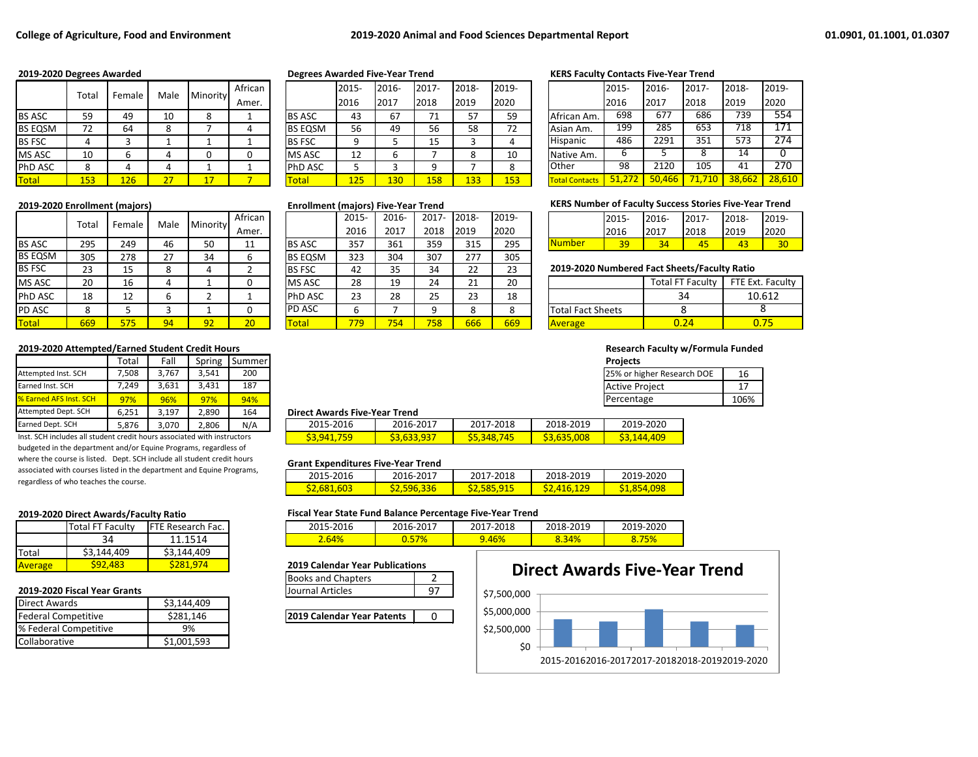|                | Tota      |        | Male |          | African |                | 2015-    | 2016- | 2017-     | 2018-     | 2019-     |                       | 2015- | 2016-               | 2017- | 2018-  | 2019- |
|----------------|-----------|--------|------|----------|---------|----------------|----------|-------|-----------|-----------|-----------|-----------------------|-------|---------------------|-------|--------|-------|
|                |           | Female |      | Minority | Amer.   |                | 2016     | 2017  | 2018      | 2019      | 2020      |                       | 2016  | 2017                | 2018  | 2019   | 2020  |
| <b>BS ASC</b>  | 59        | 49     | 10   |          |         | <b>BS ASC</b>  | 43       | 67    | 71<br>, 1 | 57<br>ر ر | 59        | African Am.           | 698   | 677                 | 686   | 739    | 554   |
| <b>BS EQSM</b> | 77<br>. . | 64     |      |          |         | <b>BS EQSM</b> | 56       | 49    | 56        | 58        | 77<br>. . | Asian Am.             | 199   | 285                 | 653   | 718    | 171   |
| <b>BS FSC</b>  |           |        |      |          |         | <b>BS FSC</b>  |          |       | 15        |           |           | Hispanic              | 486   | 2291                | 351   | 573    | 274   |
| <b>MS ASC</b>  | 10        |        |      |          |         | <b>MS ASC</b>  | 12<br>ᅩᄼ |       |           |           | 10        | Native Am.            |       |                     |       | 14     |       |
| <b>PhD ASC</b> |           |        |      |          |         | <b>PhD ASC</b> |          |       |           |           |           | <b>Other</b>          | 98    | 2120                | 105   | 41     | 270   |
| Total          | 153       | 126    | דר   |          |         | <b>Total</b>   | 125      | 130   | 158       | 133       | 153       | <b>Total Contacts</b> |       | 466<br>$50^{\circ}$ | 1,710 | 38.662 | 28,61 |

|                | Total |        | Male | Minority | African |                | 2015- | 2016- | $2017 -$ | 2018- | 2019- |                                              | 2015- | 2016- | 2017-                   | 2018-          | 2019-  |
|----------------|-------|--------|------|----------|---------|----------------|-------|-------|----------|-------|-------|----------------------------------------------|-------|-------|-------------------------|----------------|--------|
|                |       | Female |      |          | Amer.   |                | 2016  | 2017  | 2018     | 2019  | 2020  |                                              | 2016  | 2017  | 2018                    | 2019           | 2020   |
| <b>BS ASC</b>  | 295   | 249    | 46   | 50       | 11      | <b>BS ASC</b>  | 357   | 361   | 359      | 315   | 295   | <b>Number</b>                                | 39    | 34    | 45                      | 43             | 30     |
| <b>BS EQSM</b> | 305   | 278    | 27   | 34       |         | <b>BS EQSM</b> | 323   | 304   | 307      | 277   | 305   |                                              |       |       |                         |                |        |
| <b>BS FSC</b>  | 23    | 15     |      |          |         | <b>BS FSC</b>  | 42    | 35    | 34       | 22    | 23    | 2019-2020 Numbered Fact Sheets/Faculty Ratio |       |       |                         |                |        |
| <b>MS ASC</b>  | 20    | 16     | 4    |          |         | <b>MS ASC</b>  | 28    | 19    | 24       | 21    | 20    |                                              |       |       | <b>Total FT Faculty</b> | FTE Ext. Facul |        |
| <b>PhD ASC</b> | 18    | 12     |      |          |         | <b>PhD ASC</b> | 23    | 28    | 25       | 23    | 18    |                                              |       |       | 34                      |                | 10.612 |
| <b>PD ASC</b>  | o     |        |      |          |         | <b>PD ASC</b>  |       |       | 9        | Ō     | o     | <b>Total Fact Sheets</b>                     |       |       |                         |                |        |
| <b>Total</b>   | 669   | 575    | 94   | 92       | 20      | <b>Total</b>   | 779   | 754   | 758      | 666   | 669   | <b>Average</b>                               |       |       | 0.24                    |                | 0.75   |

### **2019-2020 Attempted/Earned Student Credit Hours Research Faculty w/Formula Funded**

|                               | ™otal | Fall  | Spring | I Summer I |                                      |           |           |           | <b>Projects</b> |
|-------------------------------|-------|-------|--------|------------|--------------------------------------|-----------|-----------|-----------|-----------------|
| Attempted Inst. SCH           | 7,508 | 3.767 | 3.541  | 200        |                                      |           |           |           | 25% or hi       |
| Earned Inst. SCH              | 249.' | 3.631 | 3.431  | 187        |                                      |           |           |           | <b>Active P</b> |
| <b>8</b> Earned AFS Inst. SCH | 97%   | 96%   | 97%    | 94%        |                                      |           |           |           | lPercenta       |
| Attempted Dept. SCH           | 6.251 | 3.197 | 2,890  | 164        | <b>Direct Awards Five-Year Trend</b> |           |           |           |                 |
| Earned Dept. SCH              | 5,876 | 3,070 | 2,806  | N/A        | 2015-2016                            | 2016-2017 | 2017-2018 | 2018-2019 | 2019            |

Inst. SCH includes all student credit hours associated with instructors budgeted in the department and/or Equine Programs, regardless of where the course is listed. Dept. SCH include all student credit hours associated with courses listed in the department and Equine Programs, regardless of who teaches the course.

|                | Total FT Faculty | <b>IFTE Research Fac.</b> |
|----------------|------------------|---------------------------|
|                | 34               | 11.1514                   |
| <b>Total</b>   | \$3,144,409      | \$3,144,409               |
| <b>Average</b> | 592,483          | 5281.974                  |

### **2019-2020 Fiscal Year Grants**

| <b>Direct Awards</b>       | \$3,144,409 |
|----------------------------|-------------|
| <b>Federal Competitive</b> | \$281,146   |
| % Federal Competitive      | 9%          |
| <b>Collaborative</b>       | \$1.001.593 |

| ______________________ |       |        |      |          |         |                |       |            |                 |       |       |                       |        |        |        |        |        |
|------------------------|-------|--------|------|----------|---------|----------------|-------|------------|-----------------|-------|-------|-----------------------|--------|--------|--------|--------|--------|
|                        | Total |        | Male | Minority | African |                | 2015- | 2016-      | 2017-           | 2018- | 2019- |                       | 2015-  | 2016-  | 2017-  | 2018-  | 2019-  |
|                        |       | Female |      |          | Amer.   |                | 2016  | 2017       | 2018            | 2019  | 2020  |                       | 2016   | 2017   | 2018   | 2019   | 2020   |
| BS ASC                 | 59    | 49     | 10   | o<br>Õ   |         | <b>BS ASC</b>  | 43    | 67         | 71<br><u>д.</u> | 57    | 59    | African Am.           | 698    | 677    | 686    | 739    | 554    |
| BS EQSM                | 72    | 64     | 8    |          |         | <b>BS EQSM</b> | 56    | 49         | 56              | 58    | 72    | Asian Am.             | 199    | 285    | 653    | 718    | 171    |
| <b>BS FSC</b>          | 4     |        |      |          |         | <b>BS FSC</b>  |       |            | 15              |       |       | Hispanic              | 486    | 2291   | 351    | 573    | 274    |
| MS ASC                 | 10    |        |      | 0        |         | MS ASC         | 12    |            |                 |       | 10    | Native Am.            | b      |        |        | 14     |        |
| PhD ASC                | ٥     |        |      |          |         | PhD ASC        |       |            |                 |       |       | <b>Other</b>          | 98     | 2120   | 105    | 41     | 270    |
| <b>Total</b>           | 153   | 126    | 27   | 17       |         | Total          | 125   | <b>130</b> | 158             | 133   | 153   | <b>Total Contacts</b> | 51,272 | 50.466 | 71,710 | 38,662 | 28,610 |
|                        |       |        |      |          |         |                |       |            |                 |       |       |                       |        |        |        |        |        |

| 2015- | 2016- | 2017- | 2018- | 2019- |
|-------|-------|-------|-------|-------|
| 2016  | 2017  | 2018  | 2019  | 2020  |
| 357   | 361   | 359   | 315   | 295   |
| 323   | 304   | 307   | 277   | 305   |
| 42    | 35    | 34    | 22    | 23    |
| 28    | 19    | 24    | 21    | 20    |
| 23    | 28    | 25    | 23    | 18    |
| 6     | 7     | 9     | 8     | 8     |
| 779   | 754   | 758   | 666   | 669   |
|       |       |       |       |       |

### **2019-2020 Degrees Awarded Degrees Awarded Five-Year Trend KERS Faculty Contacts Five-Year Trend**

|                       | 2015-  | 2016-  | $2017 -$ | 2018-  | 2019-  |
|-----------------------|--------|--------|----------|--------|--------|
|                       | 2016   | 2017   | 2018     | 2019   | 2020   |
| African Am.           | 698    | 677    | 686      | 739    | 554    |
| Asian Am.             | 199    | 285    | 653      | 718    | 171    |
| Hispanic              | 486    | 2291   | 351      | 573    | 274    |
| Native Am.            | 6      | 5      | 8        | 14     | O      |
| Other                 | 98     | 2120   | 105      | 41     | 270    |
| <b>Total Contacts</b> | 51.272 | 50,466 | 71,710   | 38,662 | 28,610 |

### **2019-2020 Enrollment (majors) Enrollment (majors) Five-Year Trend KERS Number of Faculty Success Stories Five-Year Trend**

|               | $2015 -$ | 2016- | 2017- | 2018- | 2019- |
|---------------|----------|-------|-------|-------|-------|
|               | 2016     | 2017  | 2018  | 2019  | 2020  |
| <u>Number</u> |          | 34.   |       |       |       |

### BS FSC 23 15 8 4 2 BS FSC 42 35 34 22 23 **2019-2020 Numbered Fact Sheets/Faculty Ratio**

| <b>Total FT Faculty</b> | FTE Ext. Faculty |
|-------------------------|------------------|
| 34                      | 10.612           |
|                         |                  |
|                         |                  |
|                         |                  |

| ۰,<br>×<br>٠<br>٠ |  |
|-------------------|--|

| 3.767<br>3.541 |       |       | 200 | 25% or higher Research DOE | ΤC       |
|----------------|-------|-------|-----|----------------------------|----------|
|                | 3.631 | 3,431 | 187 | <b>Active Project</b>      | <b>.</b> |
| <b>96%</b>     |       | 97%   | 94% | Percentage                 | 106%     |

### **Direct Awards Five-Year Trend**

| 2015-2016       | 2016-2017                        | 2017-2018               | 2018-2019       | 2019-2020      |
|-----------------|----------------------------------|-------------------------|-----------------|----------------|
| ΈQ<br><b>GA</b> | a2<br>. 633<br><u>JJ,UJJ,JJ.</u> | '45<br>348<br>— JJ, J . | 008<br><b>A</b> | .409<br>71 Z L |

### **Grant Expenditures Five-Year Trend**

| 2015-2016          | 2016-2017         | 2017-2018         | 2018-2019 | 2019-2020          |
|--------------------|-------------------|-------------------|-----------|--------------------|
| <u>\$2,681,603</u> | <b>32,596,336</b> | <u>S2,585,915</u> | 416.129   | <u>\$1,854,098</u> |

### **2019-2020 Direct Awards/Faculty Ratio Fiscal Year State Fund Balance Percentage Five-Year Trend**

| Faculty | <b>IFTE Research</b><br>Fac. | 2015-2016 | 2016-2017             | 7-2018<br>2017<br>2017 | 2018-2019 | 2019-2020 |
|---------|------------------------------|-----------|-----------------------|------------------------|-----------|-----------|
| 34      | $-4E4$<br>. <i>. .</i>       | $-64\%$   | <b>F70.</b><br>U.J//U | <b>9.46%</b>           | 8.34%     | 8.73%     |
|         |                              |           |                       |                        |           |           |

### **2019 Calendar Year Publications**

| <b>Books and Chapters</b> |  |
|---------------------------|--|
| Journal Articles          |  |

**2019 Calendar Year Patents** | 0